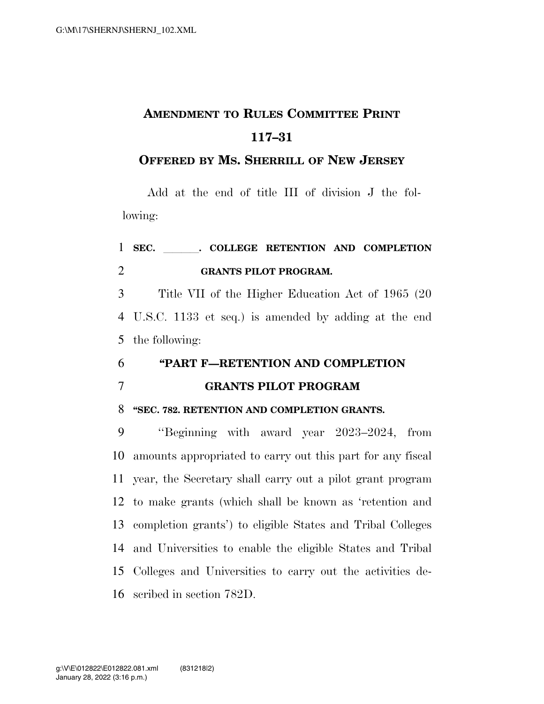# **AMENDMENT TO RULES COMMITTEE PRINT 117–31**

## **OFFERED BY MS. SHERRILL OF NEW JERSEY**

Add at the end of title III of division J the following:

## 1 SEC. COLLEGE RETENTION AND COMPLETION **GRANTS PILOT PROGRAM.**

 Title VII of the Higher Education Act of 1965 (20 U.S.C. 1133 et seq.) is amended by adding at the end the following:

## **''PART F—RETENTION AND COMPLETION GRANTS PILOT PROGRAM**

### **''SEC. 782. RETENTION AND COMPLETION GRANTS.**

 ''Beginning with award year 2023–2024, from amounts appropriated to carry out this part for any fiscal year, the Secretary shall carry out a pilot grant program to make grants (which shall be known as 'retention and completion grants') to eligible States and Tribal Colleges and Universities to enable the eligible States and Tribal Colleges and Universities to carry out the activities de-scribed in section 782D.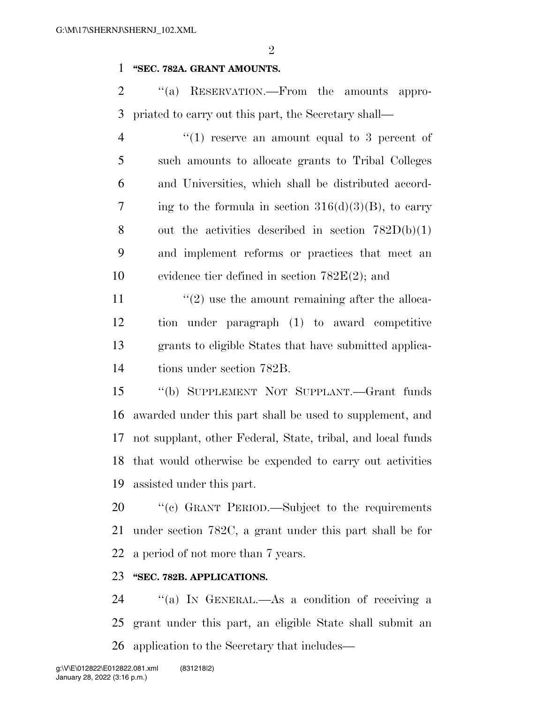$\mathfrak{D}$ 

#### **''SEC. 782A. GRANT AMOUNTS.**

2 "(a) RESERVATION.—From the amounts appro-priated to carry out this part, the Secretary shall—

 $\frac{4}{1}$  ''(1) reserve an amount equal to 3 percent of such amounts to allocate grants to Tribal Colleges and Universities, which shall be distributed accord-7 ing to the formula in section  $316(d)(3)(B)$ , to carry 8 out the activities described in section  $782D(b)(1)$  and implement reforms or practices that meet an evidence tier defined in section 782E(2); and

 $\frac{1}{2}$  use the amount remaining after the alloca- tion under paragraph (1) to award competitive grants to eligible States that have submitted applica-tions under section 782B.

 ''(b) SUPPLEMENT NOT SUPPLANT.—Grant funds awarded under this part shall be used to supplement, and not supplant, other Federal, State, tribal, and local funds that would otherwise be expended to carry out activities assisted under this part.

 ''(c) GRANT PERIOD.—Subject to the requirements under section 782C, a grant under this part shall be for a period of not more than 7 years.

### **''SEC. 782B. APPLICATIONS.**

 ''(a) IN GENERAL.—As a condition of receiving a grant under this part, an eligible State shall submit an application to the Secretary that includes—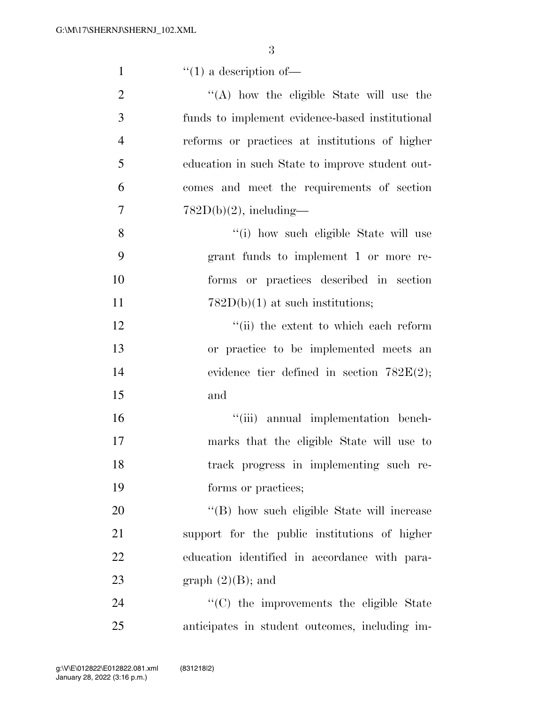| $\mathbf{1}$   | $f'(1)$ a description of-                       |
|----------------|-------------------------------------------------|
| $\overline{2}$ | $\lq\lq$ how the eligible State will use the    |
| 3              | funds to implement evidence-based institutional |
| $\overline{4}$ | reforms or practices at institutions of higher  |
| 5              | education in such State to improve student out- |
| 6              | comes and meet the requirements of section      |
| 7              | $782D(b)(2)$ , including-                       |
| 8              | "(i) how such eligible State will use           |
| 9              | grant funds to implement 1 or more re-          |
| 10             | forms or practices described in section         |
| 11             | $782D(b)(1)$ at such institutions;              |
| 12             | "(ii) the extent to which each reform           |
| 13             | or practice to be implemented meets an          |
| 14             | evidence tier defined in section $782E(2)$ ;    |
| 15             | and                                             |
| 16             | "(iii) annual implementation bench-             |
| 17             | marks that the eligible State will use to       |
| 18             | track progress in implementing such re-         |
| 19             | forms or practices;                             |
| 20             | "(B) how such eligible State will increase      |
| 21             | support for the public institutions of higher   |
| 22             | education identified in accordance with para-   |
| 23             | graph $(2)(B)$ ; and                            |
| 24             | "(C) the improvements the eligible State        |
| 25             | anticipates in student outcomes, including im-  |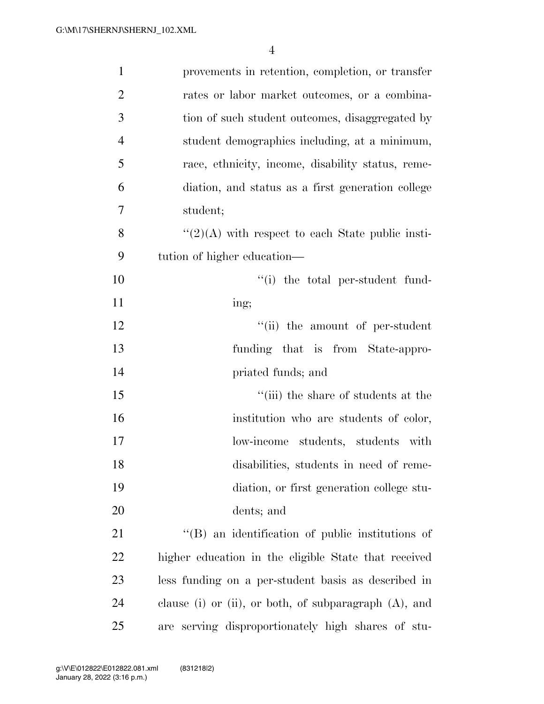| $\mathbf{1}$   | provements in retention, completion, or transfer         |
|----------------|----------------------------------------------------------|
| $\overline{2}$ | rates or labor market outcomes, or a combina-            |
| $\mathfrak{Z}$ | tion of such student outcomes, disaggregated by          |
| $\overline{4}$ | student demographics including, at a minimum,            |
| 5              | race, ethnicity, income, disability status, reme-        |
| 6              | diation, and status as a first generation college        |
| $\tau$         | student;                                                 |
| 8              | $\lq(2)(A)$ with respect to each State public insti-     |
| 9              | tution of higher education—                              |
| 10             | "(i) the total per-student fund-                         |
| 11             | ing;                                                     |
| 12             | "(ii) the amount of per-student                          |
| 13             | funding that is from State-appro-                        |
| 14             | priated funds; and                                       |
| 15             | "(iii) the share of students at the                      |
| 16             | institution who are students of color,                   |
| 17             | low-income students, students with                       |
| 18             | disabilities, students in need of reme-                  |
| 19             | diation, or first generation college stu-                |
| 20             | dents; and                                               |
| 21             | $\lq\lq$ an identification of public institutions of     |
| 22             | higher education in the eligible State that received     |
| 23             | less funding on a per-student basis as described in      |
| 24             | clause (i) or (ii), or both, of subparagraph $(A)$ , and |
| 25             | are serving disproportionately high shares of stu-       |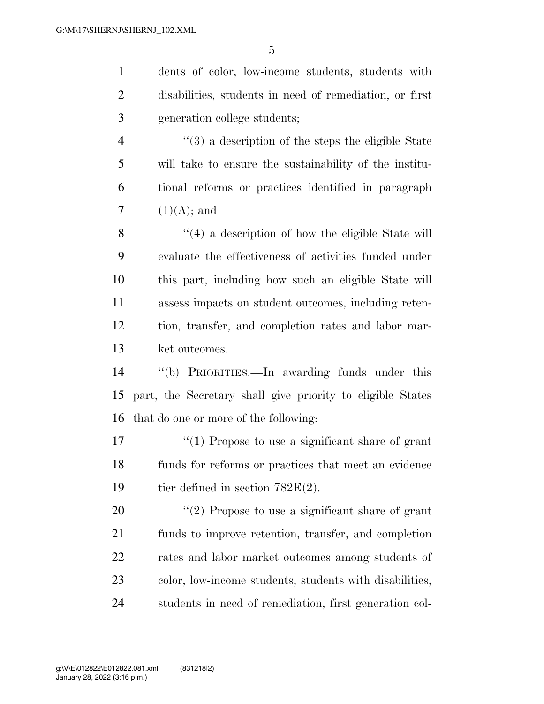dents of color, low-income students, students with disabilities, students in need of remediation, or first generation college students;

 ''(3) a description of the steps the eligible State will take to ensure the sustainability of the institu- tional reforms or practices identified in paragraph  $(1)(A)$ ; and

8 ''(4) a description of how the eligible State will evaluate the effectiveness of activities funded under this part, including how such an eligible State will assess impacts on student outcomes, including reten- tion, transfer, and completion rates and labor mar-ket outcomes.

 ''(b) PRIORITIES.—In awarding funds under this part, the Secretary shall give priority to eligible States that do one or more of the following:

 ''(1) Propose to use a significant share of grant funds for reforms or practices that meet an evidence 19 tier defined in section  $782E(2)$ .

 $\frac{u(2)}{2}$  Propose to use a significant share of grant funds to improve retention, transfer, and completion rates and labor market outcomes among students of color, low-income students, students with disabilities, students in need of remediation, first generation col-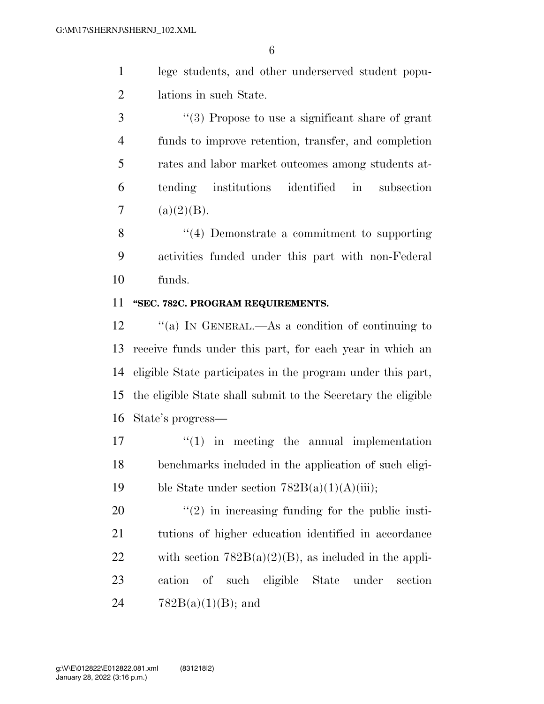- lege students, and other underserved student popu-lations in such State.
- ''(3) Propose to use a significant share of grant funds to improve retention, transfer, and completion rates and labor market outcomes among students at- tending institutions identified in subsection 7 (a) $(2)(B)$ .

 ''(4) Demonstrate a commitment to supporting activities funded under this part with non-Federal funds.

#### **''SEC. 782C. PROGRAM REQUIREMENTS.**

12 "(a) In GENERAL.—As a condition of continuing to receive funds under this part, for each year in which an eligible State participates in the program under this part, the eligible State shall submit to the Secretary the eligible State's progress—

17  $\frac{17}{2}$  in meeting the annual implementation benchmarks included in the application of such eligi-19 ble State under section  $782B(a)(1)(A)(iii)$ ;

 ''(2) in increasing funding for the public insti- tutions of higher education identified in accordance 22 with section  $782B(a)(2)(B)$ , as included in the appli- cation of such eligible State under section  $782B(a)(1)(B)$ ; and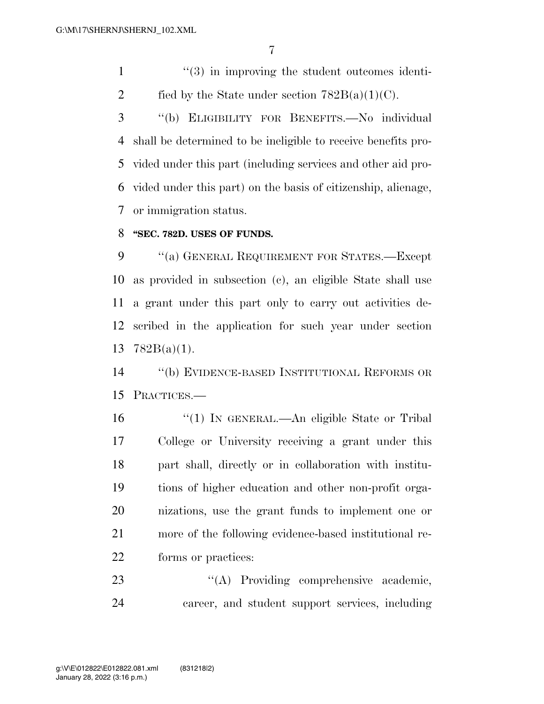1 ''(3) in improving the student outcomes identi-2 fied by the State under section  $782B(a)(1)(C)$ .

 ''(b) ELIGIBILITY FOR BENEFITS.—No individual shall be determined to be ineligible to receive benefits pro- vided under this part (including services and other aid pro- vided under this part) on the basis of citizenship, alienage, or immigration status.

#### **''SEC. 782D. USES OF FUNDS.**

9 "(a) GENERAL REQUIREMENT FOR STATES.—Except as provided in subsection (c), an eligible State shall use a grant under this part only to carry out activities de- scribed in the application for such year under section 782B(a)(1).

 ''(b) EVIDENCE-BASED INSTITUTIONAL REFORMS OR PRACTICES.—

 ''(1) IN GENERAL.—An eligible State or Tribal College or University receiving a grant under this part shall, directly or in collaboration with institu- tions of higher education and other non-profit orga- nizations, use the grant funds to implement one or more of the following evidence-based institutional re-forms or practices:

23 "(A) Providing comprehensive academic, career, and student support services, including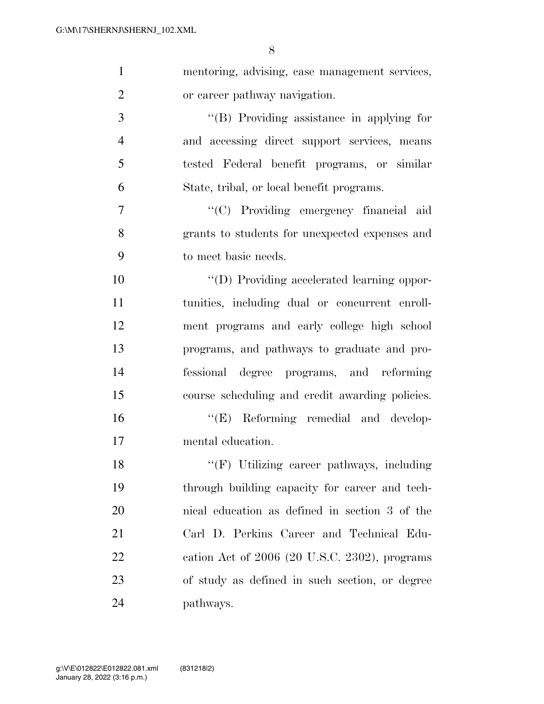| $\mathbf{1}$   | mentoring, advising, case management services,  |
|----------------|-------------------------------------------------|
| $\overline{2}$ | or career pathway navigation.                   |
| 3              | "(B) Providing assistance in applying for       |
| $\overline{4}$ | and accessing direct support services, means    |
| 5              | tested Federal benefit programs, or similar     |
| 6              | State, tribal, or local benefit programs.       |
| $\overline{7}$ | "(C) Providing emergency financial aid          |
| 8              | grants to students for unexpected expenses and  |
| 9              | to meet basic needs.                            |
| 10             | "(D) Providing accelerated learning oppor-      |
| 11             | tunities, including dual or concurrent enroll-  |
| 12             | ment programs and early college high school     |
| 13             | programs, and pathways to graduate and pro-     |
| 14             | fessional degree programs, and reforming        |
| 15             | course scheduling and credit awarding policies. |
| 16             | "(E) Reforming remedial and develop-            |
| 17             | mental education.                               |
| 18             | "(F) Utilizing career pathways, including       |
| 19             | through building capacity for career and tech-  |
| 20             | nical education as defined in section 3 of the  |
| 21             | Carl D. Perkins Career and Technical Edu-       |
| 22             | cation Act of $2006$ (20 U.S.C. 2302), programs |
| 23             | of study as defined in such section, or degree  |
| 24             | pathways.                                       |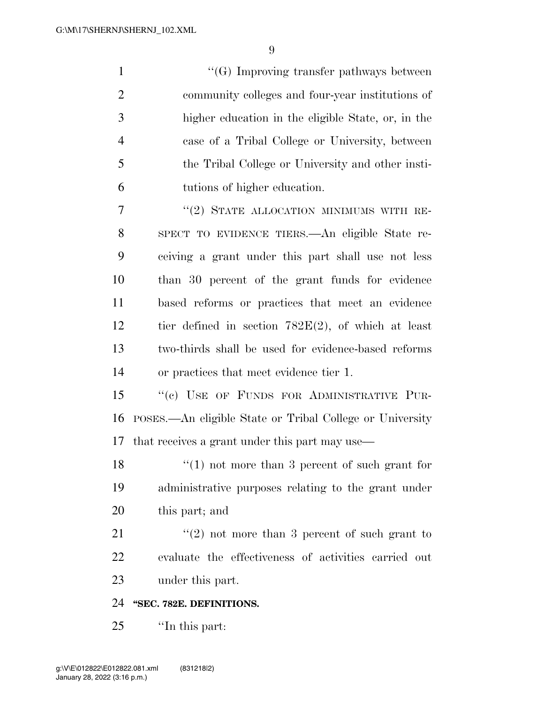1 ''(G) Improving transfer pathways between community colleges and four-year institutions of higher education in the eligible State, or, in the case of a Tribal College or University, between the Tribal College or University and other insti-tutions of higher education.

7 "(2) STATE ALLOCATION MINIMUMS WITH RE- SPECT TO EVIDENCE TIERS.—An eligible State re- ceiving a grant under this part shall use not less than 30 percent of the grant funds for evidence based reforms or practices that meet an evidence tier defined in section 782E(2), of which at least two-thirds shall be used for evidence-based reforms or practices that meet evidence tier 1.

15 "(c) USE OF FUNDS FOR ADMINISTRATIVE PUR- POSES.—An eligible State or Tribal College or University that receives a grant under this part may use—

18 ''(1) not more than 3 percent of such grant for administrative purposes relating to the grant under this part; and

21  $\frac{1}{2}$  (2) not more than 3 percent of such grant to evaluate the effectiveness of activities carried out under this part.

#### **''SEC. 782E. DEFINITIONS.**

''In this part: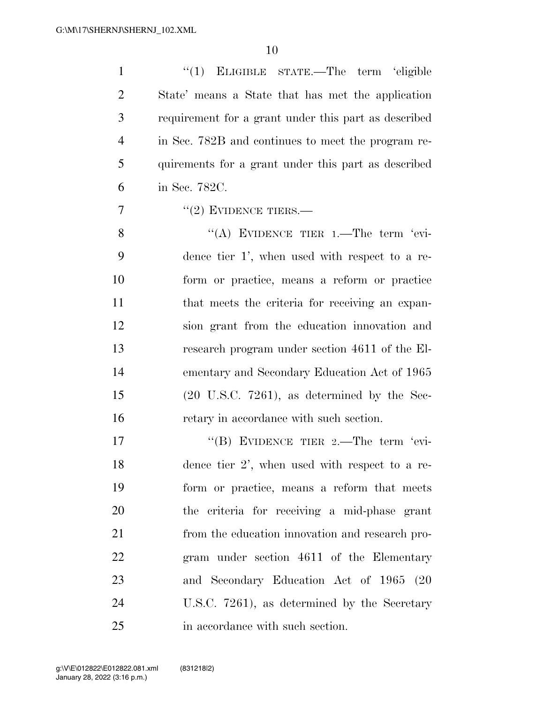| $\mathbf{1}$   | "(1) ELIGIBLE STATE.—The term 'eligible                 |
|----------------|---------------------------------------------------------|
| $\overline{2}$ | State' means a State that has met the application       |
| 3              | requirement for a grant under this part as described    |
| $\overline{4}$ | in Sec. 782B and continues to meet the program re-      |
| 5              | quirements for a grant under this part as described     |
| 6              | in Sec. 782C.                                           |
| 7              | $"(2)$ EVIDENCE TIERS.—                                 |
| 8              | "(A) EVIDENCE TIER 1.—The term 'evi-                    |
| 9              | dence tier 1', when used with respect to a re-          |
| 10             | form or practice, means a reform or practice            |
| 11             | that meets the criteria for receiving an expan-         |
| 12             | sion grant from the education innovation and            |
| 13             | research program under section 4611 of the El-          |
| 14             | ementary and Secondary Education Act of 1965            |
| 15             | $(20 \text{ U.S.C. } 7261)$ , as determined by the Sec- |
| 16             | retary in accordance with such section.                 |
| 17             | "(B) EVIDENCE TIER 2.—The term 'evi-                    |
| 18             | dence tier 2', when used with respect to a re-          |
| 19             | form or practice, means a reform that meets             |
| 20             | the criteria for receiving a mid-phase grant            |
| 21             | from the education innovation and research pro-         |
| 22             | gram under section 4611 of the Elementary               |
| 23             | and Secondary Education Act of 1965 (20                 |
| 24             | U.S.C. 7261), as determined by the Secretary            |
| 25             | in accordance with such section.                        |